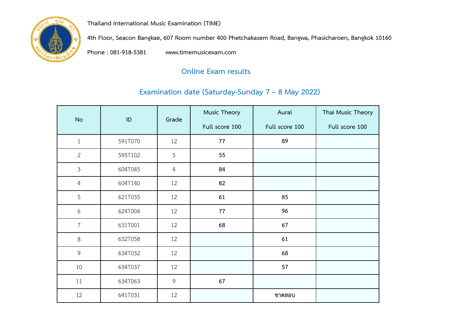

**Thailand International Music Examination (TIME)** 

 **4th Floor, Seacon Bangkae, 607 Room number 400 Phetchakasem Road, Bangwa, Phasicharoen, Bangkok 10160**

 **[Phone : 081-918-5381 www.timemusicexam.com](http://www.timemusicexam.com/)**

## **Online Exam results**

## **Examination date (Saturday-Sunday 7 – 8 May 2022)**

| <b>No</b>      | ID      | Grade          | Music Theory   | Aural          | Thai Music Theory |
|----------------|---------|----------------|----------------|----------------|-------------------|
|                |         |                | Full score 100 | Full score 100 | Full score 100    |
| $\mathbf{1}$   | 591T070 | 12             | 77             | 89             |                   |
| $\overline{2}$ | 595T102 | 5              | 55             |                |                   |
| $\mathfrak{Z}$ | 604T045 | $\overline{4}$ | 84             |                |                   |
| $\overline{4}$ | 604T140 | 12             | 82             |                |                   |
| 5              | 621T035 | 12             | 61             | 85             |                   |
| 6              | 624T004 | 12             | 77             | 96             |                   |
| $\overline{7}$ | 631T001 | 12             | 68             | 67             |                   |
| $8\,$          | 632T058 | 12             |                | 61             |                   |
| 9              | 634T032 | 12             |                | 68             |                   |
| 10             | 634T037 | 12             |                | 57             |                   |
| 11             | 634T063 | 9              | 67             |                |                   |
| 12             | 641T031 | 12             |                | ขาดสอบ         |                   |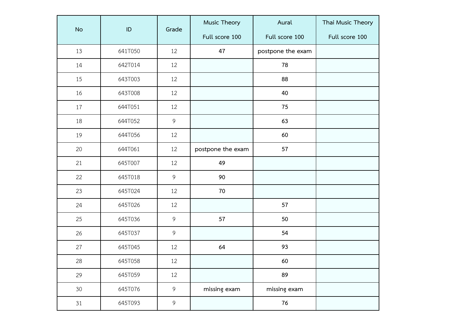|                 | ID      | Grade          | Music Theory      | Aural             | Thai Music Theory |
|-----------------|---------|----------------|-------------------|-------------------|-------------------|
| <b>No</b>       |         |                | Full score 100    | Full score 100    | Full score 100    |
| 13              | 641T050 | 12             | 47                | postpone the exam |                   |
| 14              | 642T014 | 12             |                   | 78                |                   |
| 15              | 643T003 | 12             |                   | 88                |                   |
| 16              | 643T008 | 12             |                   | 40                |                   |
| 17              | 644T051 | 12             |                   | 75                |                   |
| 18              | 644T052 | 9              |                   | 63                |                   |
| 19              | 644T056 | 12             |                   | 60                |                   |
| 20              | 644T061 | 12             | postpone the exam | 57                |                   |
| 21              | 645T007 | 12             | 49                |                   |                   |
| 22              | 645T018 | 9              | 90                |                   |                   |
| 23              | 645T024 | 12             | 70                |                   |                   |
| 24              | 645T026 | 12             |                   | 57                |                   |
| 25              | 645T036 | 9              | 57                | 50                |                   |
| 26              | 645T037 | 9              |                   | 54                |                   |
| 27              | 645T045 | 12             | 64                | 93                |                   |
| 28              | 645T058 | 12             |                   | 60                |                   |
| 29              | 645T059 | 12             |                   | 89                |                   |
| 30 <sup>°</sup> | 645T076 | $\overline{9}$ | missing exam      | missing exam      |                   |
| 31              | 645T093 | $\overline{9}$ |                   | 76                |                   |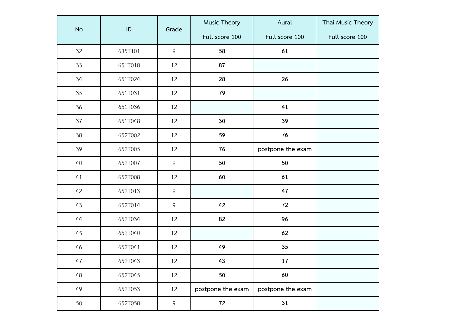|           |               | Grade          | Music Theory      | Aural             | Thai Music Theory |
|-----------|---------------|----------------|-------------------|-------------------|-------------------|
| <b>No</b> | $\mathsf{ID}$ |                | Full score 100    | Full score 100    | Full score 100    |
| 32        | 645T101       | $\overline{9}$ | 58                | 61                |                   |
| 33        | 651T018       | 12             | 87                |                   |                   |
| 34        | 651T024       | 12             | 28                | 26                |                   |
| 35        | 651T031       | 12             | 79                |                   |                   |
| 36        | 651T036       | 12             |                   | 41                |                   |
| 37        | 651T048       | 12             | 30                | 39                |                   |
| 38        | 652T002       | 12             | 59                | 76                |                   |
| 39        | 652T005       | 12             | 76                | postpone the exam |                   |
| 40        | 652T007       | $\overline{9}$ | 50                | 50                |                   |
| 41        | 652T008       | 12             | 60                | 61                |                   |
| 42        | 652T013       | 9              |                   | 47                |                   |
| 43        | 652T014       | 9              | 42                | 72                |                   |
| 44        | 652T034       | 12             | 82                | 96                |                   |
| 45        | 652T040       | 12             |                   | 62                |                   |
| 46        | 652T041       | 12             | 49                | 35                |                   |
| 47        | 652T043       | 12             | 43                | 17                |                   |
| 48        | 652T045       | 12             | 50                | 60                |                   |
| 49        | 652T053       | 12             | postpone the exam | postpone the exam |                   |
| 50        | 652T058       | 9              | 72                | 31                |                   |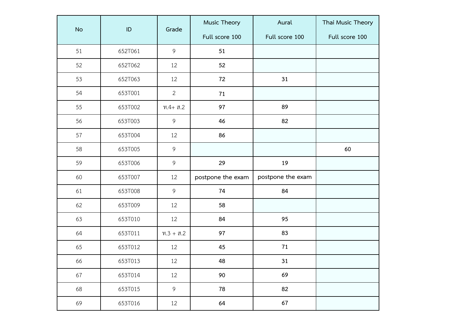|           | ID      | Grade          | Music Theory      | Aural             | Thai Music Theory |
|-----------|---------|----------------|-------------------|-------------------|-------------------|
| <b>No</b> |         |                | Full score 100    | Full score 100    | Full score 100    |
| 51        | 652T061 | 9              | 51                |                   |                   |
| 52        | 652T062 | 12             | 52                |                   |                   |
| 53        | 652T063 | 12             | 72                | 31                |                   |
| 54        | 653T001 | $\overline{2}$ | 71                |                   |                   |
| 55        | 653T002 | $M.4+$ ส.2     | 97                | 89                |                   |
| 56        | 653T003 | 9              | 46                | 82                |                   |
| 57        | 653T004 | 12             | 86                |                   |                   |
| 58        | 653T005 | $\overline{9}$ |                   |                   | 60                |
| 59        | 653T006 | $\overline{9}$ | 29                | 19                |                   |
| 60        | 653T007 | 12             | postpone the exam | postpone the exam |                   |
| 61        | 653T008 | 9              | 74                | 84                |                   |
| 62        | 653T009 | 12             | 58                |                   |                   |
| 63        | 653T010 | 12             | 84                | 95                |                   |
| 64        | 653T011 | $W.3 + R.2$    | 97                | 83                |                   |
| 65        | 653T012 | 12             | 45                | $71\,$            |                   |
| 66        | 653T013 | 12             | 48                | 31                |                   |
| 67        | 653T014 | 12             | 90                | 69                |                   |
| 68        | 653T015 | 9              | 78                | 82                |                   |
| 69        | 653T016 | 12             | 64                | 67                |                   |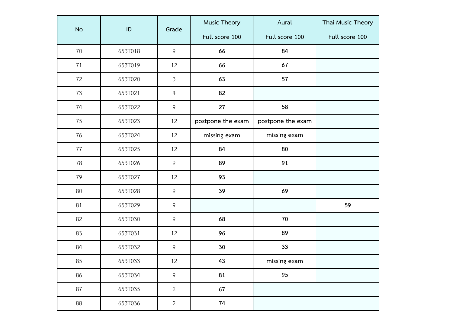|           |         |                | Music Theory      | Aural             | Thai Music Theory |
|-----------|---------|----------------|-------------------|-------------------|-------------------|
| <b>No</b> | ID      | Grade          | Full score 100    | Full score 100    | Full score 100    |
| 70        | 653T018 | 9              | 66                | 84                |                   |
| 71        | 653T019 | 12             | 66                | 67                |                   |
| 72        | 653T020 | $\mathfrak{Z}$ | 63                | 57                |                   |
| 73        | 653T021 | $\overline{4}$ | 82                |                   |                   |
| 74        | 653T022 | 9              | 27                | 58                |                   |
| 75        | 653T023 | 12             | postpone the exam | postpone the exam |                   |
| 76        | 653T024 | 12             | missing exam      | missing exam      |                   |
| 77        | 653T025 | 12             | 84                | 80                |                   |
| 78        | 653T026 | $\overline{9}$ | 89                | 91                |                   |
| 79        | 653T027 | 12             | 93                |                   |                   |
| 80        | 653T028 | 9              | 39                | 69                |                   |
| 81        | 653T029 | 9              |                   |                   | 59                |
| 82        | 653T030 | 9              | 68                | 70                |                   |
| 83        | 653T031 | 12             | 96                | 89                |                   |
| 84        | 653T032 | $\overline{9}$ | 30                | 33                |                   |
| 85        | 653T033 | 12             | 43                | missing exam      |                   |
| 86        | 653T034 | $\overline{9}$ | 81                | 95                |                   |
| 87        | 653T035 | $\overline{2}$ | 67                |                   |                   |
| 88        | 653T036 | $\overline{2}$ | 74                |                   |                   |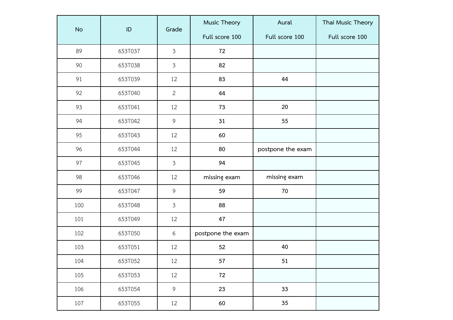|           | ID      |                | Music Theory      | Aural             | Thai Music Theory |
|-----------|---------|----------------|-------------------|-------------------|-------------------|
| <b>No</b> |         | Grade          | Full score 100    | Full score 100    | Full score 100    |
| 89        | 653T037 | $\mathfrak{Z}$ | 72                |                   |                   |
| 90        | 653T038 | $\mathfrak{Z}$ | 82                |                   |                   |
| 91        | 653T039 | 12             | 83                | 44                |                   |
| 92        | 653T040 | $\overline{2}$ | 44                |                   |                   |
| 93        | 653T041 | 12             | 73                | 20                |                   |
| 94        | 653T042 | 9              | 31                | 55                |                   |
| 95        | 653T043 | 12             | 60                |                   |                   |
| 96        | 653T044 | 12             | 80                | postpone the exam |                   |
| 97        | 653T045 | $\mathfrak{Z}$ | 94                |                   |                   |
| 98        | 653T046 | 12             | missing exam      | missing exam      |                   |
| 99        | 653T047 | $\mathsf 9$    | 59                | 70                |                   |
| 100       | 653T048 | $\mathfrak{Z}$ | 88                |                   |                   |
| 101       | 653T049 | 12             | 47                |                   |                   |
| 102       | 653T050 | 6              | postpone the exam |                   |                   |
| 103       | 653T051 | 12             | 52                | 40                |                   |
| 104       | 653T052 | 12             | 57                | 51                |                   |
| 105       | 653T053 | 12             | 72                |                   |                   |
| 106       | 653T054 | 9              | 23                | 33                |                   |
| 107       | 653T055 | 12             | 60                | 35                |                   |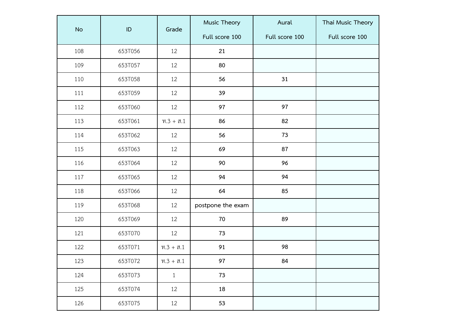|           |               |              | Music Theory      | Aural          | Thai Music Theory |
|-----------|---------------|--------------|-------------------|----------------|-------------------|
| <b>No</b> | $\mathsf{ID}$ | Grade        | Full score 100    | Full score 100 | Full score 100    |
| 108       | 653T056       | 12           | 21                |                |                   |
| 109       | 653T057       | 12           | 80                |                |                   |
| 110       | 653T058       | 12           | 56                | 31             |                   |
| 111       | 653T059       | 12           | 39                |                |                   |
| 112       | 653T060       | 12           | 97                | 97             |                   |
| 113       | 653T061       | $0.3 + 0.1$  | 86                | 82             |                   |
| 114       | 653T062       | 12           | 56                | 73             |                   |
| 115       | 653T063       | 12           | 69                | 87             |                   |
| 116       | 653T064       | 12           | 90                | 96             |                   |
| 117       | 653T065       | 12           | 94                | 94             |                   |
| 118       | 653T066       | 12           | 64                | 85             |                   |
| 119       | 653T068       | 12           | postpone the exam |                |                   |
| 120       | 653T069       | 12           | $70\,$            | 89             |                   |
| 121       | 653T070       | 12           | 73                |                |                   |
| 122       | 653T071       | $W.3 + R.1$  | 91                | 98             |                   |
| 123       | 653T072       | $9.3 + 3.1$  | 97                | 84             |                   |
| 124       | 653T073       | $\mathbf{1}$ | 73                |                |                   |
| 125       | 653T074       | 12           | 18                |                |                   |
| 126       | 653T075       | 12           | 53                |                |                   |